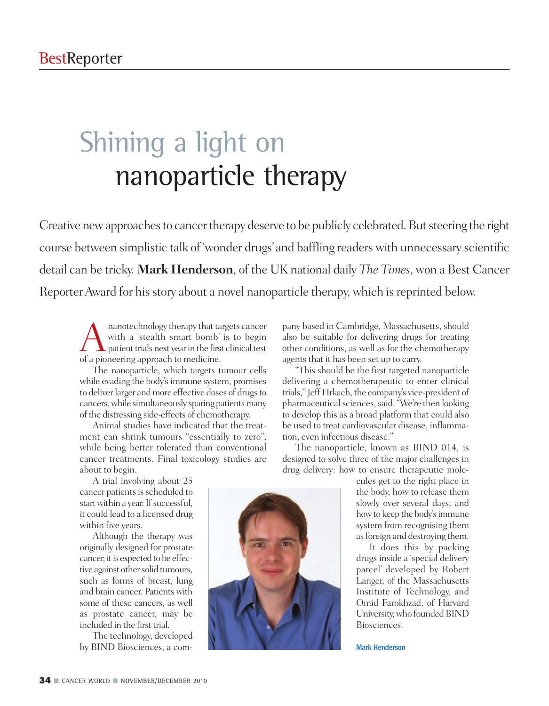# Shining a light on nanoparticle therapy

Creative new approaches to cancer therapy deserve to be publicly celebrated. But steering the right course between simplistic talk of 'wonder drugs' and baffling readers with unnecessary scientific detail can be tricky. **Mark Henderson**, of the UK national daily *The Times*, won a Best Cancer Reporter Award for his story about a novel nanoparticle therapy, which is reprinted below.

Ananotechnology therapy that targets cancer<br>with a 'stealth smart bomb' is to begin<br>patient trials next year in the first clinical test<br>of a pioneering approach to medicine with a 'stealth smart bomb' is to begin of a pioneering approach to medicine.

The nanoparticle, which targets tumour cells while evading the body's immune system, promises to deliver larger and more effective doses of drugs to cancers, while simultaneously sparing patients many of the distressing side-effects of chemotherapy.

Animal studies have indicated that the treatment can shrink tumours "essentially to zero", while being better tolerated than conventional cancer treatments. Final toxicology studies are about to begin.

A trial involving about 25 cancer patients is scheduled to start within a year. If successful, it could lead to a licensed drug within five years.

Although the therapy was originally designed for prostate cancer, it is expected to be effective against other solid tumours, such as forms of breast, lung and brain cancer. Patients with some of these cancers, as well as prostate cancer, may be included in the first trial.

The technology, developed by BIND Biosciences, a company based in Cambridge, Massachusetts, should also be suitable for delivering drugs for treating other conditions, as well as for the chemotherapy agents that it has been set up to carry.

"This should be the first targeted nanoparticle delivering a chemotherapeutic to enter clinical trials," Jeff Hrkach, the company's vice-president of pharmaceutical sciences, said. "We're then looking to develop this as a broad platform that could also be used to treat cardiovascular disease, inflammation, even infectious disease."

The nanoparticle, known as BIND 014, is designed to solve three of the major challenges in drug delivery: how to ensure therapeutic mole-

> cules get to the right place in the body, how to release them slowly over several days, and how to keep the body's immune system from recognising them asforeign and destroying them.

> It does this by packing drugs inside a 'special delivery parcel' developed by Robert Langer, of the Massachusetts Institute of Technology, and Omid Farokhzad, of Harvard University, who founded BIND Biosciences.

Mark Henderson

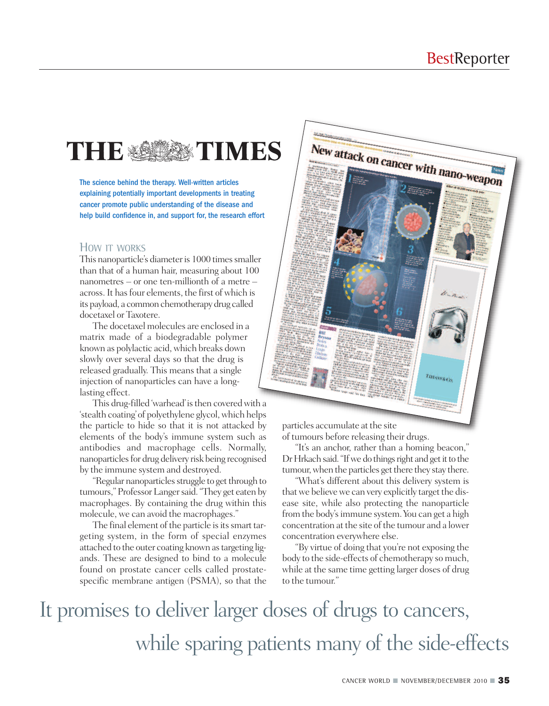## THE SERIES TIMES

The science behind the therapy. Well-written articles explaining potentially important developments in treating cancer promote public understanding of the disease and help build confidence in, and support for, the research effort

#### HOW IT WORKS

This nanoparticle's diameter is 1000 times smaller than that of a human hair, measuring about 100 nanometres – or one ten-millionth of a metre – across.It hasfour elements, the first of which is its payload, a common chemotherapy drug called docetaxel or Taxotere.

The docetaxel molecules are enclosed in a matrix made of a biodegradable polymer known as polylactic acid, which breaks down slowly over several days so that the drug is released gradually. This means that a single injection of nanoparticles can have a longlasting effect.

This drug-filled 'warhead' is then covered with a 'stealth coating'of polyethylene glycol,which helps the particle to hide so that it is not attacked by elements of the body's immune system such as antibodies and macrophage cells. Normally, nanoparticles for drug delivery risk being recognised by the immune system and destroyed.

"Regular nanoparticles struggle to get through to tumours," ProfessorLangersaid."They get eaten by macrophages. By containing the drug within this molecule, we can avoid the macrophages."

The final element of the particle is its smart targeting system, in the form of special enzymes attached to the outer coating known astargeting ligands. These are designed to bind to a molecule found on prostate cancer cells called prostatespecific membrane antigen (PSMA), so that the



particles accumulate at the site of tumours before releasing their drugs.

"It's an anchor, rather than a homing beacon," Dr Hrkach said. "If we do things right and get it to the tumour, when the particles get there they stay there.

"What's different about this delivery system is that we believe we can very explicitly target the disease site, while also protecting the nanoparticle from the body's immune system. You can get a high concentration at the site of the tumour and a lower concentration everywhere else.

"By virtue of doing that you're not exposing the body to the side-effects of chemotherapy so much, while at the same time getting larger doses of drug to the tumour."

It promises to deliver larger doses of drugs to cancers, while sparing patients many of the side-effects